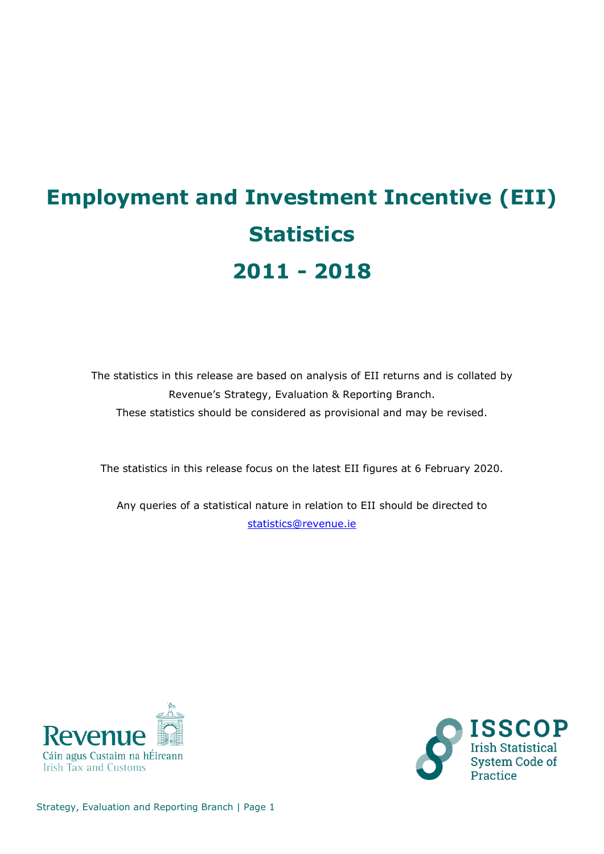# **Employment and Investment Incentive (EII) Statistics 2011 - 2018**

The statistics in this release are based on analysis of EII returns and is collated by Revenue's Strategy, Evaluation & Reporting Branch. These statistics should be considered as provisional and may be revised.

The statistics in this release focus on the latest EII figures at 6 February 2020.

Any queries of a statistical nature in relation to EII should be directed to [statistics@revenue.ie](mailto:statistics@revenue.ie)



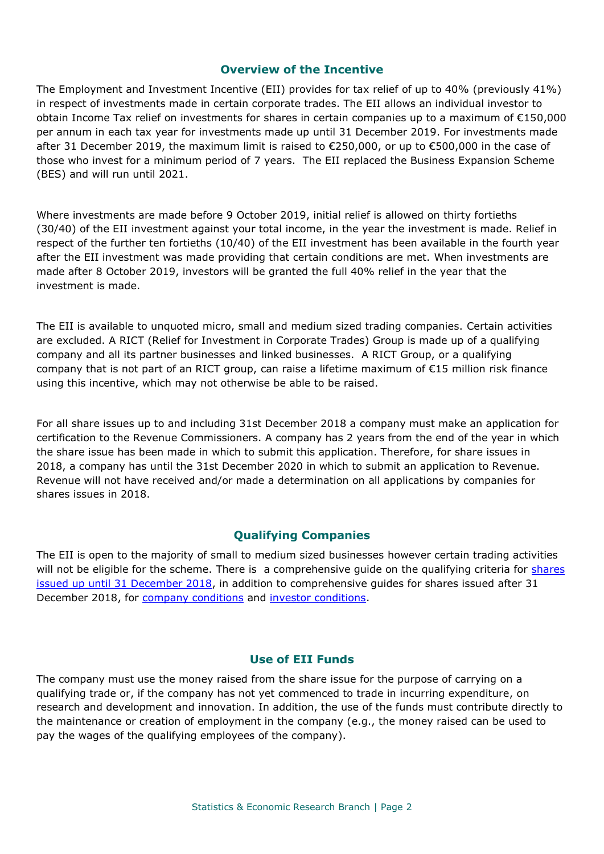### **Overview of the Incentive**

The Employment and Investment Incentive (EII) provides for tax relief of up to 40% (previously 41%) in respect of investments made in certain corporate trades. The EII allows an individual investor to obtain Income Tax relief on investments for shares in certain companies up to a maximum of €150,000 per annum in each tax year for investments made up until 31 December 2019. For investments made after 31 December 2019, the maximum limit is raised to €250,000, or up to €500,000 in the case of those who invest for a minimum period of 7 years. The EII replaced the Business Expansion Scheme (BES) and will run until 2021.

Where investments are made before 9 October 2019, initial relief is allowed on thirty fortieths (30/40) of the EII investment against your total income, in the year the investment is made. Relief in respect of the further ten fortieths (10/40) of the EII investment has been available in the fourth year after the EII investment was made providing that certain conditions are met. When investments are made after 8 October 2019, investors will be granted the full 40% relief in the year that the investment is made.

The EII is available to unquoted micro, small and medium sized trading companies. Certain activities are excluded. A RICT (Relief for Investment in Corporate Trades) Group is made up of a qualifying company and all its partner businesses and linked businesses. A RICT Group, or a qualifying company that is not part of an RICT group, can raise a lifetime maximum of €15 million risk finance using this incentive, which may not otherwise be able to be raised.

For all share issues up to and including 31st December 2018 a company must make an application for certification to the Revenue Commissioners. A company has 2 years from the end of the year in which the share issue has been made in which to submit this application. Therefore, for share issues in 2018, a company has until the 31st December 2020 in which to submit an application to Revenue. Revenue will not have received and/or made a determination on all applications by companies for shares issues in 2018.

## **Qualifying Companies**

The EII is open to the majority of small to medium sized businesses however certain trading activities will not be eligible for the scheme. There is a comprehensive guide on the qualifying criteria for shares [issued up until 31 December 2018,](https://www.revenue.ie/en/tax-professionals/tdm/income-tax-capital-gains-tax-corporation-tax/part-16/16-00-10.pdf) in addition to comprehensive guides for shares issued after 31 December 2018, for [company conditions](https://www.revenue.ie/en/tax-professionals/tdm/income-tax-capital-gains-tax-corporation-tax/part-16/16-00-02.pdf) and [investor conditions.](https://www.revenue.ie/en/tax-professionals/tdm/income-tax-capital-gains-tax-corporation-tax/part-16/16-00-03.pdf)

#### **Use of EII Funds**

The company must use the money raised from the share issue for the purpose of carrying on a qualifying trade or, if the company has not yet commenced to trade in incurring expenditure, on research and development and innovation. In addition, the use of the funds must contribute directly to the maintenance or creation of employment in the company (e.g., the money raised can be used to pay the wages of the qualifying employees of the company).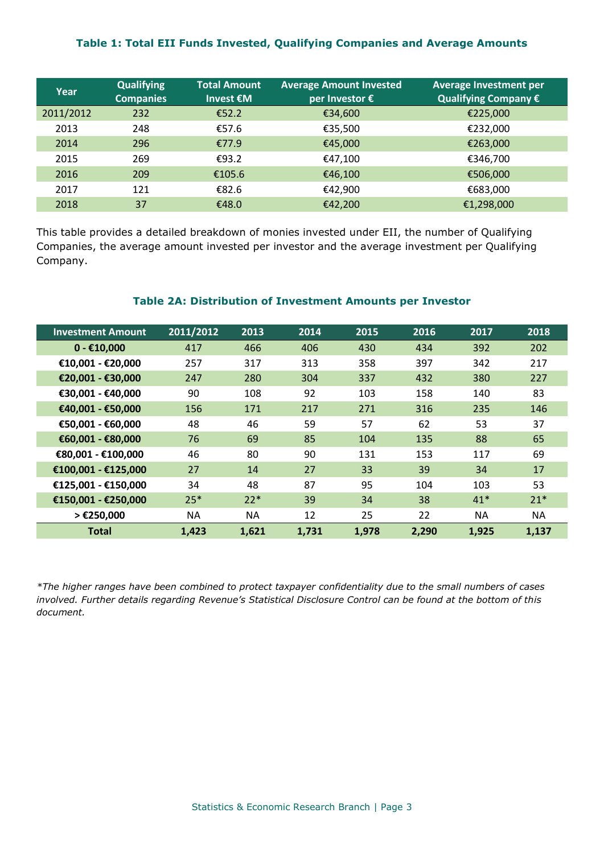### **Table 1: Total EII Funds Invested, Qualifying Companies and Average Amounts**

| Year      | <b>Qualifying</b><br><b>Companies</b> | <b>Total Amount</b><br>Invest $\epsilon$ M | <b>Average Amount Invested</b><br>per Investor € | Average Investment per<br>Qualifying Company € |
|-----------|---------------------------------------|--------------------------------------------|--------------------------------------------------|------------------------------------------------|
| 2011/2012 | 232                                   | €52.2                                      | €34,600                                          | €225,000                                       |
| 2013      | 248                                   | €57.6                                      | €35,500                                          | €232,000                                       |
| 2014      | 296                                   | €77.9                                      | €45,000                                          | €263,000                                       |
| 2015      | 269                                   | €93.2                                      | €47,100                                          | €346,700                                       |
| 2016      | 209                                   | €105.6                                     | €46,100                                          | €506,000                                       |
| 2017      | 121                                   | €82.6                                      | €42,900                                          | €683,000                                       |
| 2018      | 37                                    | €48.0                                      | €42,200                                          | €1,298,000                                     |

This table provides a detailed breakdown of monies invested under EII, the number of Qualifying Companies, the average amount invested per investor and the average investment per Qualifying Company.

#### **Table 2A: Distribution of Investment Amounts per Investor**

| <b>Investment Amount</b> | 2011/2012 | 2013  | 2014  | 2015  | 2016  | 2017  | 2018  |
|--------------------------|-----------|-------|-------|-------|-------|-------|-------|
| $0 - £10,000$            | 417       | 466   | 406   | 430   | 434   | 392   | 202   |
| €10,001 - €20,000        | 257       | 317   | 313   | 358   | 397   | 342   | 217   |
| €20,001 - €30,000        | 247       | 280   | 304   | 337   | 432   | 380   | 227   |
| €30,001 - €40,000        | 90        | 108   | 92    | 103   | 158   | 140   | 83    |
| €40,001 - €50,000        | 156       | 171   | 217   | 271   | 316   | 235   | 146   |
| €50,001 - €60,000        | 48        | 46    | 59    | 57    | 62    | 53    | 37    |
| €60,001 - €80,000        | 76        | 69    | 85    | 104   | 135   | 88    | 65    |
| €80,001 - €100,000       | 46        | 80    | 90    | 131   | 153   | 117   | 69    |
| €100,001 - €125,000      | 27        | 14    | 27    | 33    | 39    | 34    | 17    |
| €125,001 - €150,000      | 34        | 48    | 87    | 95    | 104   | 103   | 53    |
| €150,001 - €250,000      | $25*$     | $22*$ | 39    | 34    | 38    | $41*$ | $21*$ |
| > €250,000               | ΝA        | ΝA    | 12    | 25    | 22    | NA    | NA    |
| <b>Total</b>             | 1,423     | 1,621 | 1,731 | 1,978 | 2,290 | 1,925 | 1,137 |

*\*The higher ranges have been combined to protect taxpayer confidentiality due to the small numbers of cases involved. Further details regarding Revenue's Statistical Disclosure Control can be found at the bottom of this document.*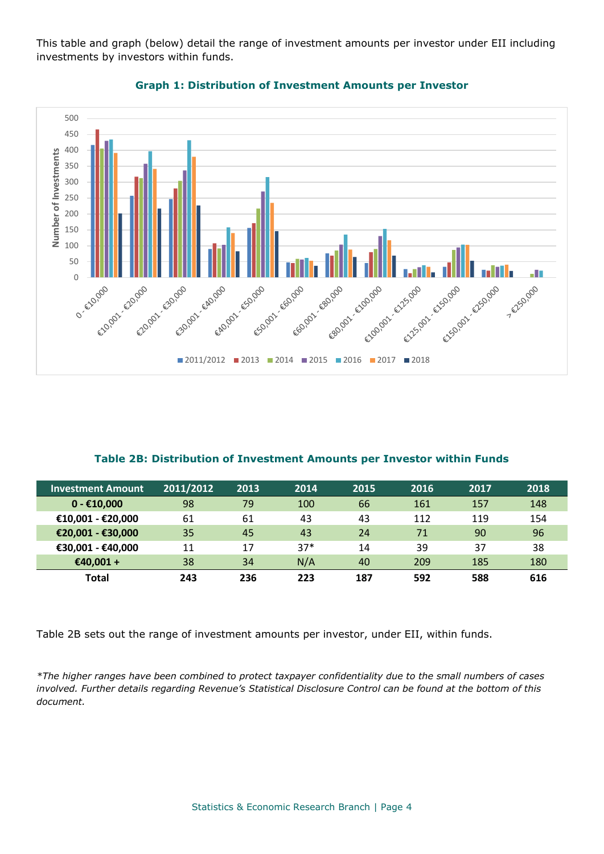This table and graph (below) detail the range of investment amounts per investor under EII including investments by investors within funds.



## **Graph 1: Distribution of Investment Amounts per Investor**

# **Table 2B: Distribution of Investment Amounts per Investor within Funds**

| <b>Investment Amount</b> ' | 2011/2012 | 2013 | 2014  | 2015 | 2016 | 2017 | 2018 |
|----------------------------|-----------|------|-------|------|------|------|------|
| $0 - €10.000$              | 98        | 79   | 100   | 66   | 161  | 157  | 148  |
| €10,001 - €20,000          | 61        | 61   | 43    | 43   | 112  | 119  | 154  |
| €20,001 - €30,000          | 35        | 45   | 43    | 24   | 71   | 90   | 96   |
| €30,001 - €40,000          | 11        | 17   | $37*$ | 14   | 39   | 37   | 38   |
| €40.001 +                  | 38        | 34   | N/A   | 40   | 209  | 185  | 180  |
| <b>Total</b>               | 243       | 236  | 223   | 187  | 592  | 588  | 616  |

Table 2B sets out the range of investment amounts per investor, under EII, within funds.

*\*The higher ranges have been combined to protect taxpayer confidentiality due to the small numbers of cases involved. Further details regarding Revenue's Statistical Disclosure Control can be found at the bottom of this document.*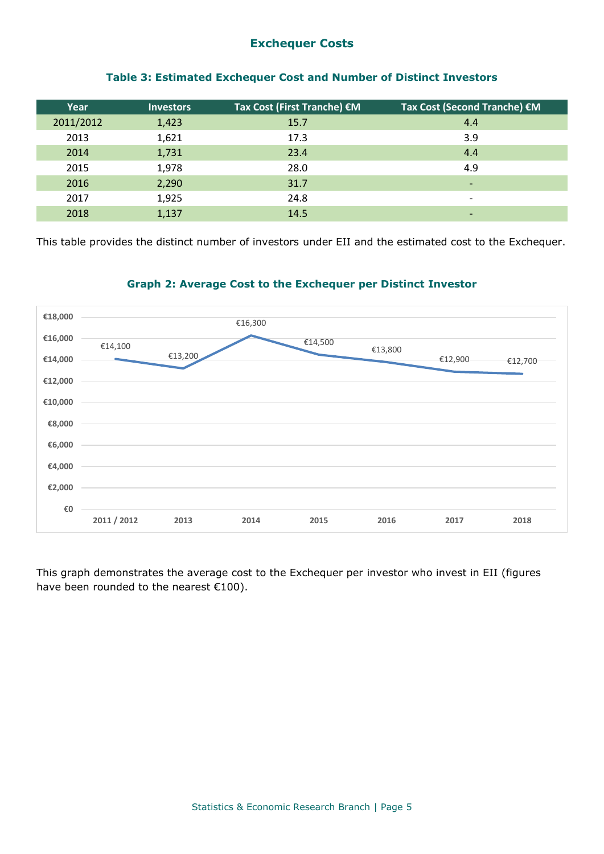# **Exchequer Costs**

| <b>Investors</b> | Tax Cost (First Tranche) €M | Tax Cost (Second Tranche) €M |
|------------------|-----------------------------|------------------------------|
| 1,423            | 15.7                        | 4.4                          |
| 1,621            | 17.3                        | 3.9                          |
| 1,731            | 23.4                        | 4.4                          |
| 1,978            | 28.0                        | 4.9                          |
| 2,290            | 31.7                        | -                            |
| 1,925            | 24.8                        | $\overline{\phantom{0}}$     |
| 1,137            | 14.5                        | $\overline{\phantom{0}}$     |
|                  |                             |                              |

#### **Table 3: Estimated Exchequer Cost and Number of Distinct Investors**

This table provides the distinct number of investors under EII and the estimated cost to the Exchequer.

## **Graph 2: Average Cost to the Exchequer per Distinct Investor**



This graph demonstrates the average cost to the Exchequer per investor who invest in EII (figures have been rounded to the nearest €100).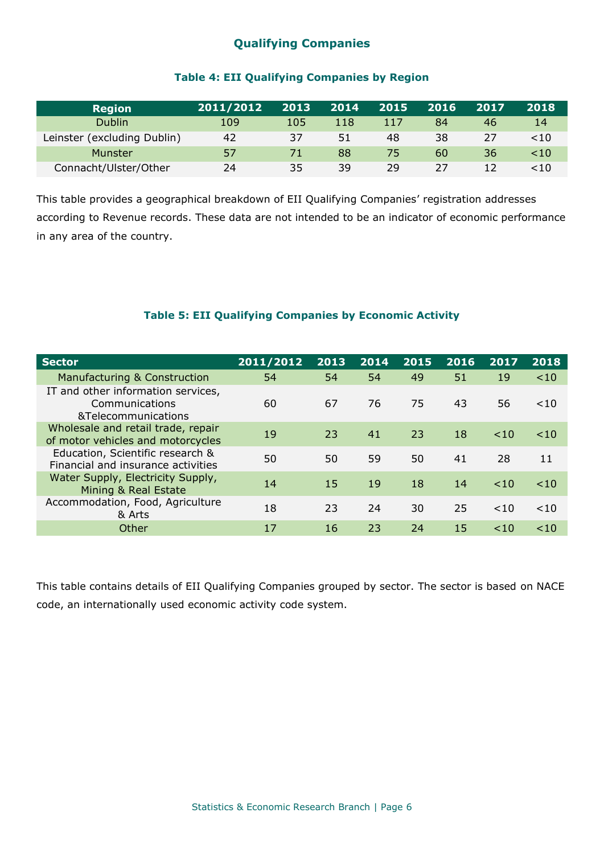# **Qualifying Companies**

## **Table 4: EII Qualifying Companies by Region**

| <b>Region</b>               | 2011/2012 | 2013 | 2014 | 2015 | 2016 | 2017 | 2018      |
|-----------------------------|-----------|------|------|------|------|------|-----------|
| <b>Dublin</b>               | 109       | 105  | 118  | 117  | 84   | 46   | 14        |
| Leinster (excluding Dublin) | 42        | 37   | 51   | 48   | 38   | 27   | <10       |
| Munster                     | 57        |      | 88   | 75   | 60   | 36   | $10^{-1}$ |
| Connacht/Ulster/Other       | 24        | 35   | 39   | 29   | 27   | 12   | <10       |

This table provides a geographical breakdown of EII Qualifying Companies' registration addresses according to Revenue records. These data are not intended to be an indicator of economic performance in any area of the country.

# **Table 5: EII Qualifying Companies by Economic Activity**

| <b>Sector</b>                                                               | 2011/2012 | 2013 | 2014 | 2015 | 2016 | 2017      | 2018      |
|-----------------------------------------------------------------------------|-----------|------|------|------|------|-----------|-----------|
| Manufacturing & Construction                                                | 54        | 54   | 54   | 49   | 51   | 19        | ~10       |
| IT and other information services,<br>Communications<br>&Telecommunications | 60        | 67   | 76   | 75   | 43   | 56        | $10^{-1}$ |
| Wholesale and retail trade, repair<br>of motor vehicles and motorcycles     | 19        | 23   | 41   | 23   | 18   | < 10      | $\leq 10$ |
| Education, Scientific research &<br>Financial and insurance activities      | 50        | 50   | 59   | 50   | 41   | 28        | 11        |
| Water Supply, Electricity Supply,<br>Mining & Real Estate                   | 14        | 15   | 19   | 18   | 14   | <10       | $\leq 10$ |
| Accommodation, Food, Agriculture<br>& Arts                                  | 18        | 23   | 24   | 30   | 25   | $10^{-1}$ | $<$ 10    |
| Other                                                                       | 17        | 16   | 23   | 24   | 15   | ~10       | <10       |

This table contains details of EII Qualifying Companies grouped by sector. The sector is based on NACE code, an internationally used economic activity code system.